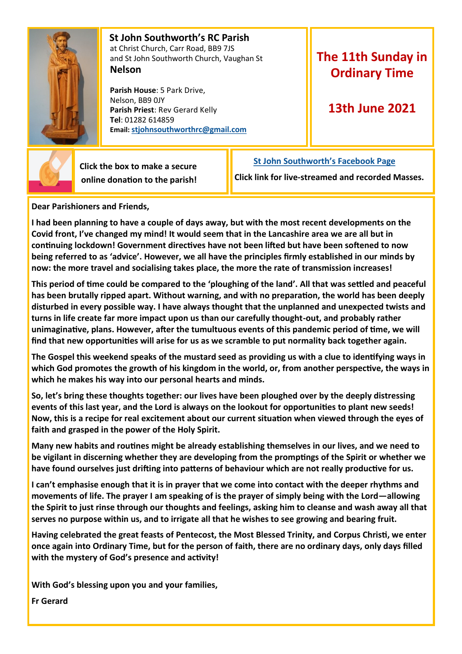

 **St John Southworth's RC Parish** at Christ Church, Carr Road, BB9 7JS and St John Southworth Church, Vaughan St **Nelson**

 **Parish House**: 5 Park Drive, Nelson, BB9 0JY **Parish Priest**: Rev Gerard Kelly **Tel**: 01282 614859 **Email: [stjohnsouthworthrc@gmail.com](mailto:stjohnsouthworth@gmail.com)**

## **The 11th Sunday in Ordinary Time**

## **13th June 2021**



 **Click the box to make a secure online donation to the parish!** **[St John Southworth's Facebook Page](https://www.facebook.com/Parish-of-St-John-Southworth-in-Nelson-105718084323986)**

**Click link for live-streamed and recorded Masses.**

**Dear Parishioners and Friends,**

**I had been planning to have a couple of days away, but with the most recent developments on the Covid front, I've changed my mind! It would seem that in the Lancashire area we are all but in continuing lockdown! Government directives have not been lifted but have been softened to now being referred to as 'advice'. However, we all have the principles firmly established in our minds by now: the more travel and socialising takes place, the more the rate of transmission increases!**

**This period of time could be compared to the 'ploughing of the land'. All that was settled and peaceful has been brutally ripped apart. Without warning, and with no preparation, the world has been deeply disturbed in every possible way. I have always thought that the unplanned and unexpected twists and turns in life create far more impact upon us than our carefully thought-out, and probably rather unimaginative, plans. However, after the tumultuous events of this pandemic period of time, we will find that new opportunities will arise for us as we scramble to put normality back together again.**

**The Gospel this weekend speaks of the mustard seed as providing us with a clue to identifying ways in which God promotes the growth of his kingdom in the world, or, from another perspective, the ways in which he makes his way into our personal hearts and minds.** 

**So, let's bring these thoughts together: our lives have been ploughed over by the deeply distressing events of this last year, and the Lord is always on the lookout for opportunities to plant new seeds! Now, this is a recipe for real excitement about our current situation when viewed through the eyes of faith and grasped in the power of the Holy Spirit.** 

**Many new habits and routines might be already establishing themselves in our lives, and we need to be vigilant in discerning whether they are developing from the promptings of the Spirit or whether we have found ourselves just drifting into patterns of behaviour which are not really productive for us.**

**I can't emphasise enough that it is in prayer that we come into contact with the deeper rhythms and movements of life. The prayer I am speaking of is the prayer of simply being with the Lord—allowing the Spirit to just rinse through our thoughts and feelings, asking him to cleanse and wash away all that serves no purpose within us, and to irrigate all that he wishes to see growing and bearing fruit.** 

**Having celebrated the great feasts of Pentecost, the Most Blessed Trinity, and Corpus Christi, we enter once again into Ordinary Time, but for the person of faith, there are no ordinary days, only days filled with the mystery of God's presence and activity!**

**With God's blessing upon you and your families,**

**Fr Gerard**